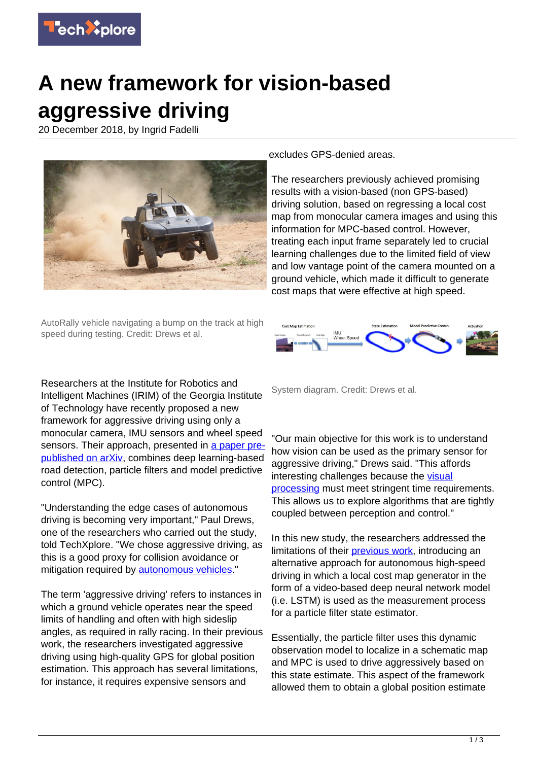

## **A new framework for vision-based aggressive driving**

20 December 2018, by Ingrid Fadelli



excludes GPS-denied areas.

The researchers previously achieved promising results with a vision-based (non GPS-based) driving solution, based on regressing a local cost map from monocular camera images and using this information for MPC-based control. However, treating each input frame separately led to crucial learning challenges due to the limited field of view and low vantage point of the camera mounted on a ground vehicle, which made it difficult to generate cost maps that were effective at high speed.

AutoRally vehicle navigating a bump on the track at high speed during testing. Credit: Drews et al.



Researchers at the Institute for Robotics and Intelligent Machines (IRIM) of the Georgia Institute of Technology have recently proposed a new framework for aggressive driving using only a monocular camera, IMU sensors and wheel speed sensors. Their approach, presented in [a paper pre](https://arxiv.org/pdf/1812.02071.pdf)[published on arXiv,](https://arxiv.org/pdf/1812.02071.pdf) combines deep learning-based road detection, particle filters and model predictive control (MPC).

"Understanding the edge cases of autonomous driving is becoming very important," Paul Drews, one of the researchers who carried out the study, told TechXplore. "We chose aggressive driving, as this is a good proxy for collision avoidance or mitigation required by **autonomous vehicles**."

The term 'aggressive driving' refers to instances in which a ground vehicle operates near the speed limits of handling and often with high sideslip angles, as required in rally racing. In their previous work, the researchers investigated aggressive driving using high-quality GPS for global position estimation. This approach has several limitations, for instance, it requires expensive sensors and

System diagram. Credit: Drews et al.

"Our main objective for this work is to understand how vision can be used as the primary sensor for aggressive driving." Drews said. "This affords interesting challenges because the [visual](https://techxplore.com/tags/visual+processing/) [processing](https://techxplore.com/tags/visual+processing/) must meet stringent time requirements. This allows us to explore algorithms that are tightly coupled between perception and control."

In this new study, the researchers addressed the limitations of their [previous work,](https://techxplore.com/tags/previous+work/) introducing an alternative approach for autonomous high-speed driving in which a local cost map generator in the form of a video-based deep neural network model (i.e. LSTM) is used as the measurement process for a particle filter state estimator.

Essentially, the particle filter uses this dynamic observation model to localize in a schematic map and MPC is used to drive aggressively based on this state estimate. This aspect of the framework allowed them to obtain a global position estimate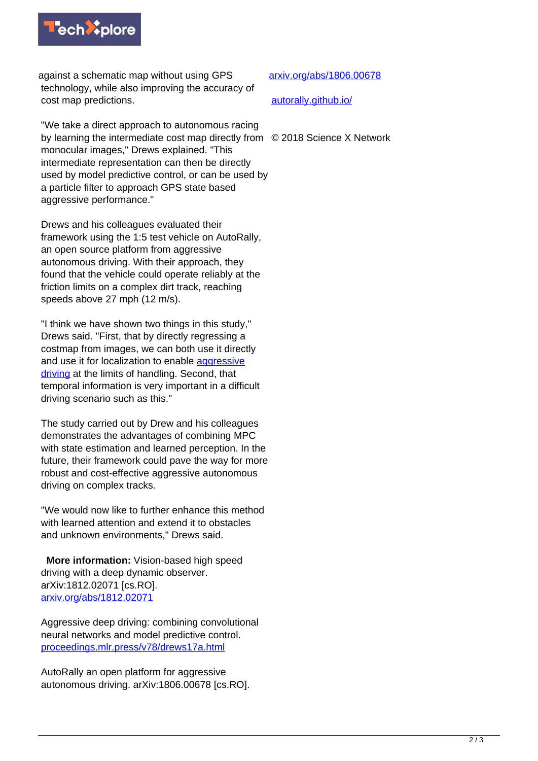

against a schematic map without using GPS technology, while also improving the accuracy of cost map predictions.

[arxiv.org/abs/1806.00678](https://arxiv.org/abs/1806.00678)

[autorally.github.io/](http://autorally.github.io/)

"We take a direct approach to autonomous racing by learning the intermediate cost map directly from © 2018 Science X Network monocular images," Drews explained. "This intermediate representation can then be directly used by model predictive control, or can be used by a particle filter to approach GPS state based aggressive performance."

Drews and his colleagues evaluated their framework using the 1:5 test vehicle on AutoRally, an open source platform from aggressive autonomous driving. With their approach, they found that the vehicle could operate reliably at the friction limits on a complex dirt track, reaching speeds above 27 mph (12 m/s).

"I think we have shown two things in this study," Drews said. "First, that by directly regressing a costmap from images, we can both use it directly and use it for localization to enable [aggressive](https://techxplore.com/tags/aggressive+driving/) [driving](https://techxplore.com/tags/aggressive+driving/) at the limits of handling. Second, that temporal information is very important in a difficult driving scenario such as this."

The study carried out by Drew and his colleagues demonstrates the advantages of combining MPC with state estimation and learned perception. In the future, their framework could pave the way for more robust and cost-effective aggressive autonomous driving on complex tracks.

"We would now like to further enhance this method with learned attention and extend it to obstacles and unknown environments," Drews said.

 **More information:** Vision-based high speed driving with a deep dynamic observer. arXiv:1812.02071 [cs.RO]. [arxiv.org/abs/1812.02071](https://arxiv.org/abs/1812.02071)

Aggressive deep driving: combining convolutional neural networks and model predictive control. [proceedings.mlr.press/v78/drews17a.html](http://proceedings.mlr.press/v78/drews17a.html)

AutoRally an open platform for aggressive autonomous driving. arXiv:1806.00678 [cs.RO].